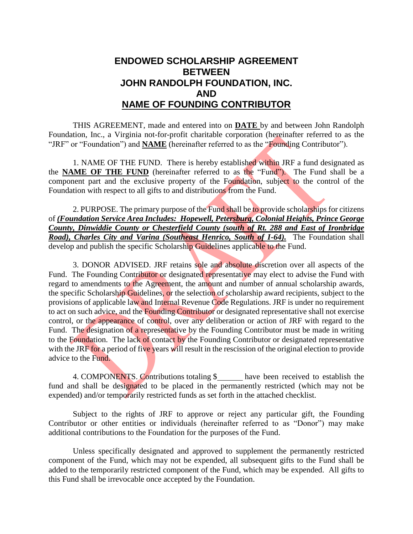## **ENDOWED SCHOLARSHIP AGREEMENT BETWEEN JOHN RANDOLPH FOUNDATION, INC. AND NAME OF FOUNDING CONTRIBUTOR**

THIS AGREEMENT, made and entered into on **DATE** by and between John Randolph Foundation, Inc., a Virginia not-for-profit charitable corporation (hereinafter referred to as the "JRF" or "Foundation") and **NAME** (hereinafter referred to as the "Founding Contributor").

1. NAME OF THE FUND. There is hereby established within JRF a fund designated as the **NAME OF THE FUND** (hereinafter referred to as the "Fund"). The Fund shall be a component part and the exclusive property of the Foundation, subject to the control of the Foundation with respect to all gifts to and distributions from the Fund.

2. PURPOSE. The primary purpose of the Fund shall be to provide scholarships for citizens of *(Foundation Service Area Includes: Hopewell, Petersburg, Colonial Heights, Prince George County, Dinwiddie County or Chesterfield County (south of Rt. 288 and East of Ironbridge Road), Charles City and Varina (Southeast Henrico, South of I-64).* The Foundation shall develop and publish the specific Scholarship Guidelines applicable to the Fund.

3. DONOR ADVISED. JRF retains sole and absolute discretion over all aspects of the Fund. The Founding Contributor or designated representative may elect to advise the Fund with regard to amendments to the Agreement, the amount and number of annual scholarship awards, the specific Scholarship Guidelines, or the selection of scholarship award recipients, subject to the provisions of applicable law and Internal Revenue Code Regulations. JRF is under no requirement to act on such advice, and the Founding Contributor or designated representative shall not exercise control, or the appearance of control, over any deliberation or action of JRF with regard to the Fund. The designation of a representative by the Founding Contributor must be made in writing to the Foundation. The lack of contact by the Founding Contributor or designated representative with the JRF for a period of five years will result in the rescission of the original election to provide advice to the Fund.

4. COMPONENTS. Contributions totaling \$ have been received to establish the fund and shall be designated to be placed in the permanently restricted (which may not be expended) and/or temporarily restricted funds as set forth in the attached checklist.

Subject to the rights of JRF to approve or reject any particular gift, the Founding Contributor or other entities or individuals (hereinafter referred to as "Donor") may make additional contributions to the Foundation for the purposes of the Fund.

Unless specifically designated and approved to supplement the permanently restricted component of the Fund, which may not be expended, all subsequent gifts to the Fund shall be added to the temporarily restricted component of the Fund, which may be expended. All gifts to this Fund shall be irrevocable once accepted by the Foundation.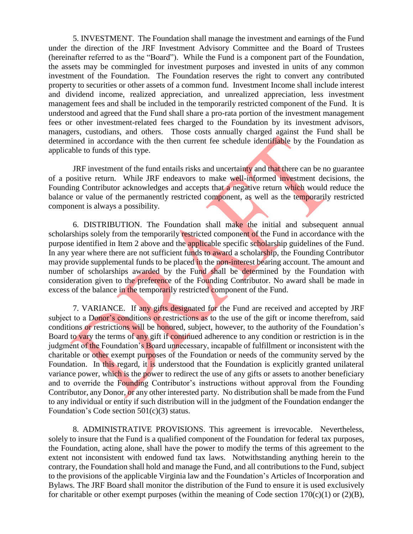5. INVESTMENT. The Foundation shall manage the investment and earnings of the Fund under the direction of the JRF Investment Advisory Committee and the Board of Trustees (hereinafter referred to as the "Board"). While the Fund is a component part of the Foundation, the assets may be commingled for investment purposes and invested in units of any common investment of the Foundation. The Foundation reserves the right to convert any contributed property to securities or other assets of a common fund. Investment Income shall include interest and dividend income, realized appreciation, and unrealized appreciation, less investment management fees and shall be included in the temporarily restricted component of the Fund. It is understood and agreed that the Fund shall share a pro-rata portion of the investment management fees or other investment-related fees charged to the Foundation by its investment advisors, managers, custodians, and others. Those costs annually charged against the Fund shall be determined in accordance with the then current fee schedule identifiable by the Foundation as applicable to funds of this type.

JRF investment of the fund entails risks and uncertainty and that there can be no guarantee of a positive return. While JRF endeavors to make well-informed investment decisions, the Founding Contributor acknowledges and accepts that a negative return which would reduce the balance or value of the permanently restricted component, as well as the temporarily restricted component is always a possibility.

6. DISTRIBUTION. The Foundation shall make the initial and subsequent annual scholarships solely from the temporarily restricted component of the Fund in accordance with the purpose identified in Item 2 above and the applicable specific scholarship guidelines of the Fund. In any year where there are not sufficient funds to award a scholarship, the Founding Contributor may provide supplemental funds to be placed in the non-interest bearing account. The amount and number of scholarships awarded by the Fund shall be determined by the Foundation with consideration given to the preference of the Founding Contributor. No award shall be made in excess of the balance in the temporarily restricted component of the Fund.

7. VARIANCE. If any gifts designated for the Fund are received and accepted by JRF subject to a Donor's conditions or restrictions as to the use of the gift or income therefrom, said conditions or restrictions will be honored, subject, however, to the authority of the Foundation's Board to vary the terms of any gift if continued adherence to any condition or restriction is in the judgment of the Foundation's Board unnecessary, incapable of fulfillment or inconsistent with the charitable or other exempt purposes of the Foundation or needs of the community served by the Foundation. In this regard, it is understood that the Foundation is explicitly granted unilateral variance power, which is the power to redirect the use of any gifts or assets to another beneficiary and to override the Founding Contributor's instructions without approval from the Founding Contributor, any Donor, or any other interested party. No distribution shall be made from the Fund to any individual or entity if such distribution will in the judgment of the Foundation endanger the Foundation's Code section 501(c)(3) status.

8. ADMINISTRATIVE PROVISIONS. This agreement is irrevocable. Nevertheless, solely to insure that the Fund is a qualified component of the Foundation for federal tax purposes, the Foundation, acting alone, shall have the power to modify the terms of this agreement to the extent not inconsistent with endowed fund tax laws. Notwithstanding anything herein to the contrary, the Foundation shall hold and manage the Fund, and all contributions to the Fund, subject to the provisions of the applicable Virginia law and the Foundation's Articles of Incorporation and Bylaws. The JRF Board shall monitor the distribution of the Fund to ensure it is used exclusively for charitable or other exempt purposes (within the meaning of Code section  $170(c)(1)$  or  $(2)(B)$ ,